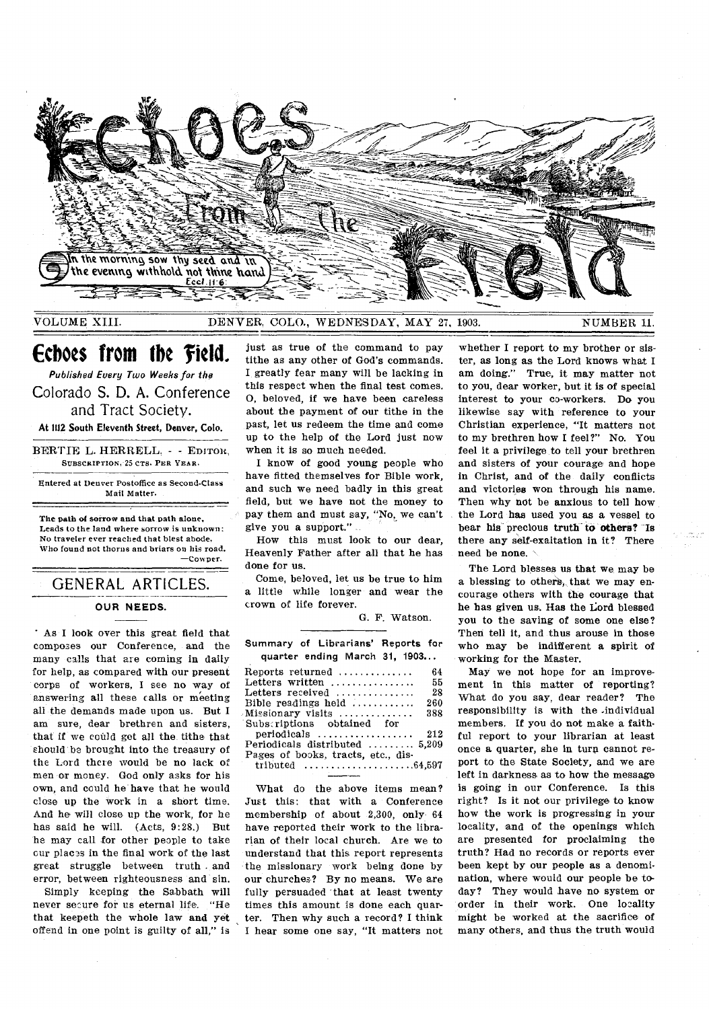

VOLUME XIII.

DENVER, COLO., WEDNESDAY, MAY 27, 1903 NUMBER 11.

# Echoes from the Field.

Published Every Two Weeks for the Colorado S. D. A. Conference and Tract Society. At 1112 South Eleventh Street, Denver, Colo.

BERTIE L. HERRELL. - - EDITOR. SUBSCRIPTION, 25 CTS. PER YEAR.

Entered at Denver Postoffice as Second-Class Mail Matter.

The path of sorrow and that path alone, Leads to the land where sorrow is unknown: No traveler ever reached that blest abode, Who found not thorns and briars on his road. -Cowper.

# **GENERAL ARTICLES.**

# **OUR NEEDS.**

As I look over this great field that composes our Conference, and the many calls that are coming in daily for help, as compared with our present corps of workers, I see no way of answering all these calls or meeting all the demands made upon us. But I am sure, dear brethren and sisters, that if we could get all the tithe that should be brought into the treasury of the Lord there would be no lack of men or money. God only asks for his own, and could he have that he would close up the work in a short time. And he will close up the work, for he has said he will. (Acts, 9:28.) But he may call for other people to take cur places in the final work of the last great struggle between truth and error, between righteousness and sin.

Simply keeping the Sabbath will never secure for us eternal life. "He that keepeth the whole law and yet offend in one point is guilty of all," is

just as true of the command to pay tithe as any other of God's commands. I greatly fear many will be lacking in this respect when the final test comes. O, beloved, if we have been careless about the payment of our tithe in the past, let us redeem the time and come up to the help of the Lord just now when it is so much needed.

I know of good young people who have fitted themselves for Bible work. and such we need badly in this great field, but we have not the money to pay them and must say, "No, we can't give you a support."

How this must look to our dear, Heavenly Father after all that he has done for us.

Come, beloved, let us be true to him a little while longer and wear the crown of life forever.

G. F. Watson.

| Summary of Librarians' Reports for                                 |
|--------------------------------------------------------------------|
| quarter ending March 31, 1903                                      |
| Reports returned $\ldots$<br>64                                    |
| 55<br>Letters written                                              |
| Letters received<br>-28                                            |
| 260<br>Bible readings held                                         |
| 388<br>$Missionary$ visits $\ldots \ldots \ldots$                  |
| Subscriptions obtained for                                         |
| $periodicals$<br>212                                               |
| Periodicals distributed $\ldots$ , $5.209$                         |
| Pages of books, tracts, etc., dis-                                 |
| tributed $\ldots \ldots \ldots \ldots \ldots \ldots \ldots 64,597$ |

What do the above items mean? Just this: that with a Conference membership of about 2,300, only 64 have reported their work to the librarian of their local church. Are we to understand that this report represents the missionary work being done by our churches? By no means. We are fully persuaded that at least twenty times this amount is done each quarter. Then why such a record? I think I hear some one say, "It matters not

whether I report to my brother or sister, as long as the Lord knows what I am doing." True, it may matter not to you, dear worker, but it is of special interest to your co-workers. Do you likewise say with reference to your Christian experience, "It matters not to my brethren how I feel?" No. You feel it a privilege to tell your brethren and sisters of your courage and hope in Christ, and of the daily conflicts and victories won through his name. Then why not be anxious to tell how the Lord has used you as a vessel to bear his precious truth to others? Is there any self-exaltation in it? There need be none.

The Lord blesses us that we may be a blessing to others, that we may encourage others with the courage that he has given us. Has the Lord blessed you to the saving of some one else? Then tell it, and thus arouse in those who may be indifferent a spirit of working for the Master.

May we not hope for an improvement in this matter of reporting? What do you say, dear reader? The responsibility is with the individual members. If you do not make a faithful report to your librarian at least once a quarter, she in turn cannot report to the State Society, and we are left in darkness as to how the message is going in our Conference. Is this right? Is it not our privilege to know how the work is progressing in your locality, and of the openings which are presented for proclaiming the truth? Had no records or reports ever been kept by our people as a denomination, where would our people be today? They would have no system or order in their work. One locality might be worked at the sacrifice of many others, and thus the truth would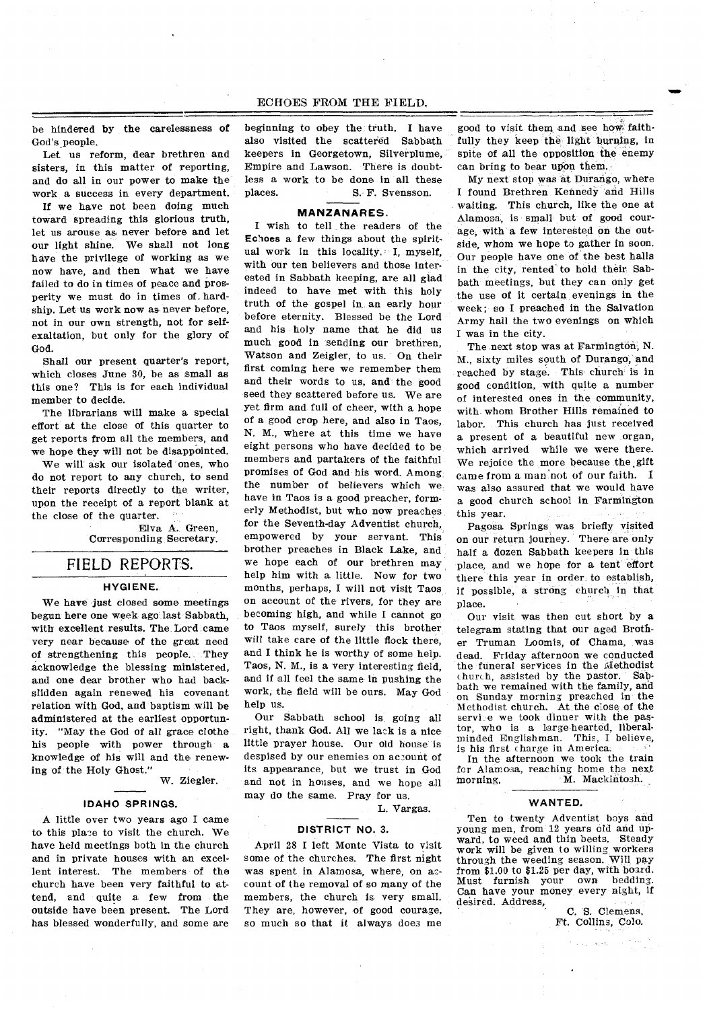### ECHOES FROM THE FIELD.

be hindered by the carelessness of God's people.

Let us reform, dear brethren and sisters, in this matter of reporting, and do all in our power to make the work a success in every department.

If we have not been doing much toward spreading this glorious truth, let us arouse as never before and let our light shine. We shall not long have the privilege of working as we now have, and then what we have failed to do in times of peace and prosperity we must do in times of, hardship. Let us work now as never before, not in our own strength, not for selfexaltation, but only for the glory of God.

Shall our present quarter's report, which closes June 30, be as small as this one? This is for each individual member to decide.

The librarians will make a special effort at the close of this quarter to get reports from all the members, and we hope they will not be disappointed.

We will ask our isolated ones, who do not report to any church, to send their reports directly to the writer, upon the receipt of a report blank at the close of the quarter.

> Elva A. Green, Corresponding Secretary.

## FIELD REPORTS.

### **HYGIENE.**

We have just closed some meetings begun here one week ago last Sabbath, with excellent results. The Lord came very near because of the great need of strengthening this people. They acknowledge the blessing ministered, and one dear brother who had backslidden again renewed his covenant relation with God, and baptism will be administered at the earliest opportunity. "May the God of all grace clothe his people with power through a knowledge of his will and the renewing of the Holy Ghost."

W. Ziegler.

### **IDAHO SPRINGS.**

A little over two years ago I came to this place to visit the church. We have held meetings both in the church and in private houses with an excellent interest. The members of the church have been very faithful to attend, and quite a few from the outside have been present. The Lord has blessed wonderfully, and some are beginning to obey the truth. I have also visited the scattered Sabbath keepers in Georgetown, Silverplume, Empire and Lawson. There is doubtless a work to be done in all these places. S. F. Svensson.

### **MANZANARES.**

I wish to tell the readers of the Echoes a few things about the spiritual work in this locality. I, myself, with our ten believers and those interested in Sabbath keeping, are all glad indeed to have met with this holy truth of the gospel in an early hour before eternity. Blessed be the Lord and his holy name that he did us much good in sending our brethren, Watson and Zeigler, to us. On their first coming here we remember them and their words to us, and the good seed they scattered before us. We are yet firm and full of cheer, with a hope of a good crop here, and also in Taos, N. M., where at this time we have eight persons who have decided to be members and partakers of the faithful promises of God and his word. Among the number of believers which we have in Taos is a good preacher, formerly Methodist, but who now preaches for the Seventh-day Adventist church, empowered by your servant. This brother preaches in Black Lake, and we hope each of our brethren may help him with a little. Now for two months, perhaps, I will not visit Taos on account of the rivers, for they are becoming high, and while I cannot go to Taos myself, surely this brother will take care of the little flock there, and I think he is worthy of some help. Taos, N. M., is a very interesting field, and if all feel the same in pushing the work, the field will be ours. May God help us.

Our Sabbath school is going all right, thank God. All we lack is a nice little prayer house. Our old house is despised by our enemies on account of its appearance, but we trust in God and not in houses, and we hope all may do the same. Pray for us.

L. Vargas.

### **DISTRICT NO.** 3.

April 28 I left Monte Vista to visit some of the churches. The first night was spent in Alamosa, where, on account of the removal of so many of the members, the church is very small. They are, however, of good courage, so much so that it always does me good to visit them and see how, faithfully they keep the light burning, in spite of all the opposition the enemy can bring to bear upon them.

My next stop was at Durango, where I found Brethren Kennedy and Hills waiting. This church, like the one at Alamosa, is small but of good courage, with a few interested on the outside, whom we hope to gather in soon. Our people have one of the best halls in the city, rented to hold their Sabbath meetings, but they can only get the use of it certain evenings in the week; so I preached in the Salvation Army hall the two evenings on which I was in the city.

The .next stop was at Farmington, N. M., sixty miles south of Durango, and reached by stage. This church is in good condition, with quite a number of interested ones in the community, with. whom Brother Hills remained to labor. This church has just received a present of a beautiful new organ, which arrived while we were there. We rejoice the more because the gift came from a man not of our faith. I was also assured that we would have a good church school in Farmington this year.

Pagosa Springs was briefly visited on our return journey. There are only half a dozen Sabbath keepers in this place, and we hope for a tent effort there this year in order to establish, if possible, a strong church in that place.

Our visit was then cut short by a telegram stating that our aged Brother Truman Loomis, of Chama, was dead. Friday afternoon we conducted the funeral services in the Methodist<br>church assisted by the pastor. Sabchurch, assisted by the pastor. bath we remained with the family, and on Sunday morning preached in the Methodist church. At the close of the service we took dinner with the pastor, who is a large-hearted, liberal-<br>minded Englishman. This, I believe, minded Englishman. is his first charge in America.

In the afternoon we took the train for Alamosa, reaching home the next morning. M. Mackintosh. M. Mackintosh.

#### **WANTED.**

Ten to twenty Adventist boys and young men, from 12 years old and upward, to weed and thin beets. Steady work will be given to willing workers through the weeding season. Will pay from \$1.00 to \$1.25 per day, with board.<br>Must furnish your own bedding. Must furnish your Can have your money every night, if desired. Address,

C. S. Clemens, Ft. Collins, Colo.

 $\beta_1 > \xi_1$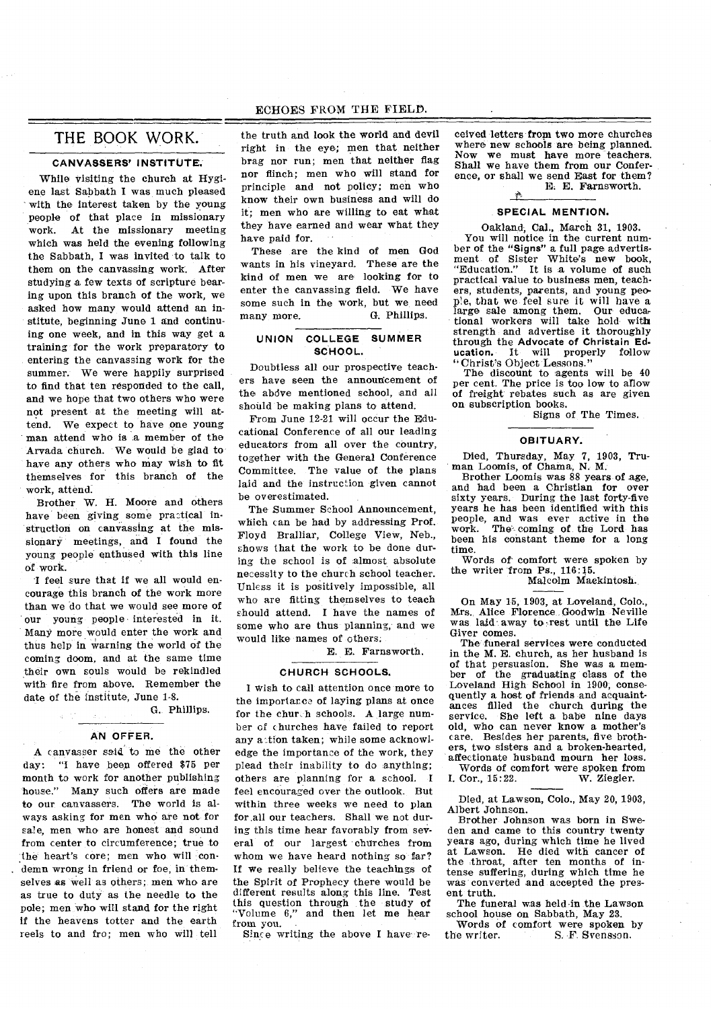### ECHOES FROM THE FIELD.

# THE BOOK WORK.

# **CANVASSERS' INSTITUTE.**

While visiting the church at Hygiene last Sabbath I was much pleased with the interest taken by the young people of that place in missionary work. At the missionary meeting which was held the evening following the Sabbath, I was invited to talk to them on the canvassing work. After studying a few texts of scripture bearing upon this branch of the work, we asked how many would attend an institute, beginning June 1 and continuing one week, and in this way get a training for the work preparatory to entering the canvassing work for the summer. We were happily surprised to find that ten responded to the call, and we hope that two others who were not present at the meeting will attend. We expect to have one young man attend who is a member of the Arvada church. We would be glad to have any others who may wish to fit themselves for this branch of the work, attend.

Brother W. H. Moore and others have been giving some practical instruction on canvassing at the missionary meetings, and I found the young people enthused with this line of work.

I feel sure that if we all would encourage this branch of the work more than we do that we would see more of our young people interested in it. Many more would enter the work and thus help in warning the world of the coming doom, and at the same time their own souls would be rekindled with fire from above. Remember the date of the institute, June 1-8.

G. Phillips.

### **AN OFFER.**

A canvasser said to me the other day: "I have been offered \$75 per month to work for another publishing house." Many such offers are made to our canvassers. The world is always asking for men who are not for sale, men who are honest and sound from center to circumference; true to the heart's core; men who will condemn wrong in friend or foe, in themselves es well as others; men who are as true to duty as the needle to the pole; men who will stand for the right if the heavens totter and the earth reels to and fro; men who will tell

the truth and look the world and devil right in the eye; men that neither brag nor run; men that neither flag nor flinch; men who will stand for principle and not policy; men who know their own business and will do it; men who are willing to eat what they have earned and wear what they have paid for.

These are the kind of men God wants in his vineyard. These are the kind of men we are looking for to enter the canvassing field. We have some such in the work, but we need many more. G. Phillips.

### **UNION COLLEGE SUMMER SCHOOL.**

Doubtless all our prospective teachers have seen the announcement of the abdve mentioned school, and all should be making plans to attend.

From June 12-21 will occur the Educational Conference of all our leading educators from all over the country, together with the General Conference Committee. The value of the plans laid and the instruction given cannot be overestimated.

The Summer School Announcement, which can be had by addressing Prof. Floyd Bralliar, College View, Neb., shows that the work to be done during the school is of almost absolute necessity to the church school teacher. Unless it is positively impossible, all who are fitting themselves to teach should attend. I have the names of some who are thus planning, and we would like names of others.

E. E. Farnsworth.

#### **CHURCH SCHOOLS.**

I wish to call attention once more to the importarcs of laying plans at once for the chur.h schools. A large number of churches have failed to report any action taken; while some acknowledge the importance of the work, they plead their inability to do anything; others are planning for a school. I feel encouraged over the outlook. But within three weeks we need to plan for all our teachers. Shall we not during this time hear favorably from several of our largest churches from whom we have heard nothing so far? If we really believe the teachings of the Spirit of Prophecy there would be different results along this line. Test this question through the study of "Volume 6," and then let me hear "Volume 6,"<br>from you.

Since writing the above I have re-

ceived letters from two more churches where new schools are being planned.<br>Now we must have more teachers. we must have more teachers. Shall we have them from our Conference, or shall we send East for them? E. E. Farnsworth.

### **SPECIAL MENTION.**

Oakland, Cal., March 31, 1903. You will notice in the current number of the "Signs" a full page advertisment of Sister White's new book, "Education." It is a volume of such It is a volume of such practical value to business men, teachers, students, parents, and young peop1e, that we feel sure it will have a large sale among them. Our educational workers will take hold with strength and advertise it thoroughly through the Advocate of Christain Ed-ucation. It will properly follow ucation. It will properly<br>"Christ's Object Lessons."

The discount to agents will be 40 per cent. The price is too low to allow of freight rebates such as are given on subscription books.

Signs of The Times.

#### **OBITUARY.**

Died, Thursday, May 7, 1903, Truman Loomis, of Chama, N. M.

Brother Loomis was 88 years of age, and had been a Christian for over sixty years. During the last forty-five years he has been identified with this people, and was ever active in the work. The- coming of the Lord has been his constant theme for a long time.

Words of comfort were spoken by the writer from Ps., 116:15.

Malcolm Mackintosh.

On May 15, 1903, at Loveland, Colo., Mrs., Alice Florence Goodwin Neville was laid away to rest until the Life Giver comes.

The funeral services were conducted in the M. E. church, as her husband is of that persuasion. She was a member of the graduating class of the Loveland High School in 1900, consequently a host of friends and acquaintances filled the church during the service. She left a babe nine days old, who can never know a mother's care. Besides her parents, five brothers, two sisters and a broken-hearted, affectionate husband mourn her loss.

Words of comfort were spoken from I. Cor., 15:22.

Died, at Lawson, Colo., May 20, 1903, Albert Johnson.

Brother Johnson was born in Sweden and came to this country twenty years ago, during which time he lived at Lawson. He died with cancer of the throat, after ten months of intense suffering, during which time he was converted and accepted the present truth.

The funeral was held in the Lawson school house on Sabbath, May 23.

Words of comfort were spoken by<br>the writer. S. F. Svensson. S. F. Svensson.